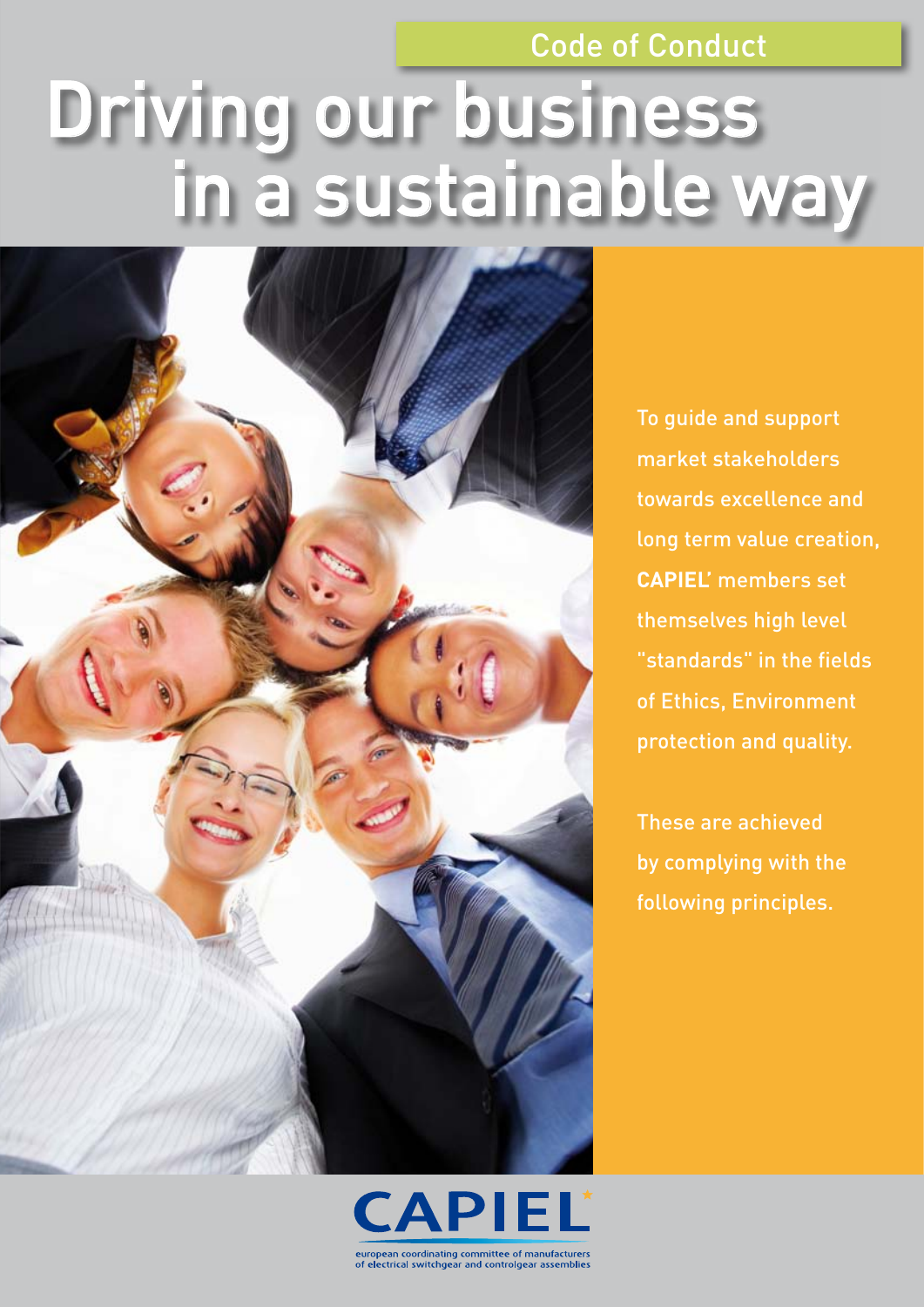### Code of Conduct

# Driving our business in a sustainable way



To guide and support market stakeholders towards excellence and long term value creation, **CAPIEL'** members set themselves high level "standards" in the fields of Ethics, Environment protection and quality.

These are achieved by complying with the following principles.

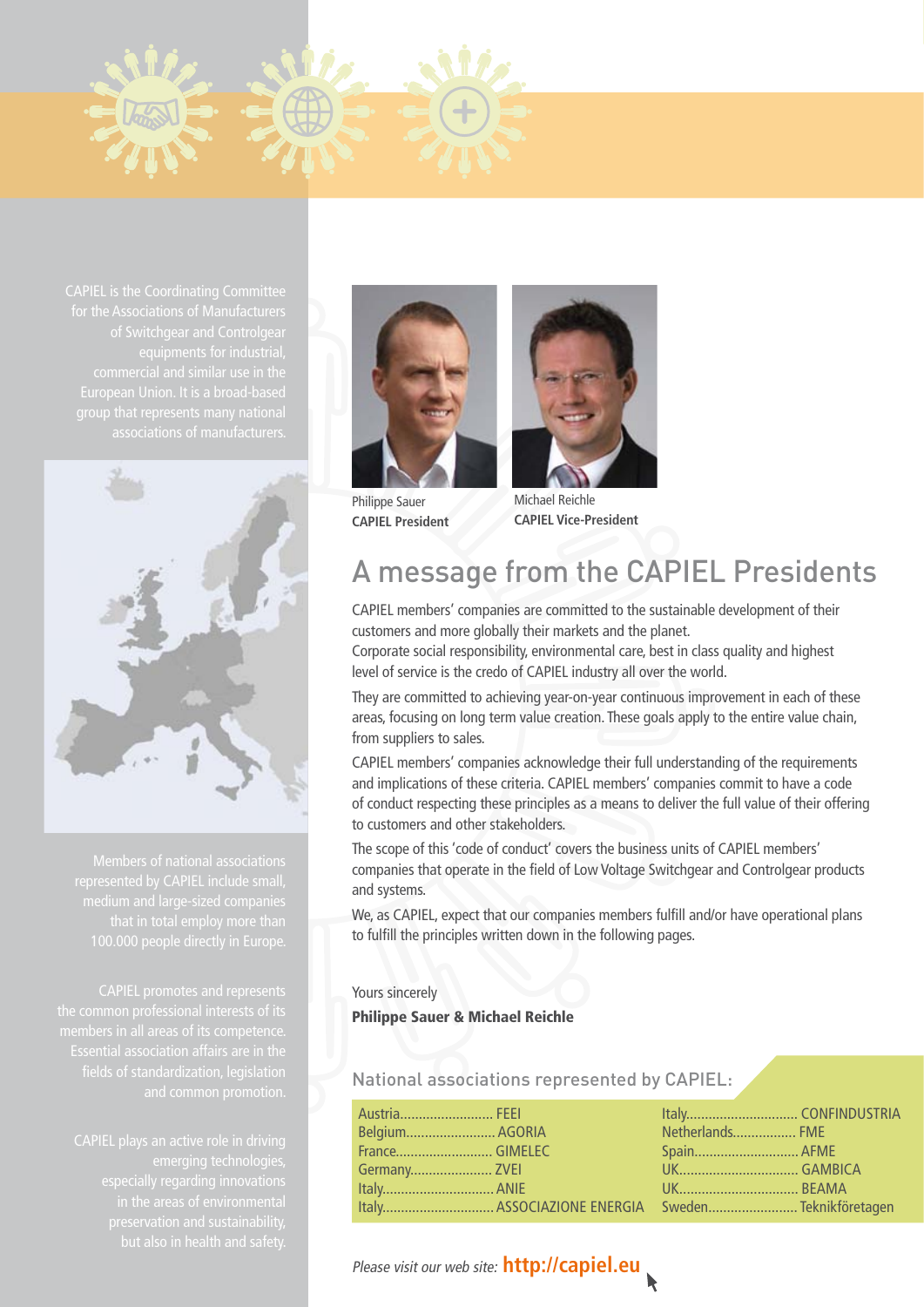

CAPIEL is the Coordinating Committee commercial and similar use in the



Members of national associations medium and large-sized companies

members in all areas of its competence.



Philippe Sauer **CAPIEL President** 



Michael Reichle **CAPIEL Vice-President**

### A message from the CAPIEL Presidents

CAPIEL members' companies are committed to the sustainable development of their customers and more globally their markets and the planet.

Corporate social responsibility, environmental care, best in class quality and highest level of service is the credo of CAPIEL industry all over the world.

They are committed to achieving year-on-year continuous improvement in each of these areas, focusing on long term value creation. These goals apply to the entire value chain, from suppliers to sales.

CAPIEL members' companies acknowledge their full understanding of the requirements and implications of these criteria. CAPIEL members' companies commit to have a code of conduct respecting these principles as a means to deliver the full value of their offering to customers and other stakeholders.

The scope of this 'code of conduct' covers the business units of CAPIEL members' companies that operate in the field of Low Voltage Switchgear and Controlgear products and systems.

We, as CAPIEL, expect that our companies members fulfill and/or have operational plans to fulfill the principles written down in the following pages.

#### Yours sincerely

Philippe Sauer & Michael Reichle

National associations represented by CAPIEL:

|                | Austria FEEI                                                           |                 |  |
|----------------|------------------------------------------------------------------------|-----------------|--|
| Belgium AGORIA | <b>THE REAL PROPERTY</b>                                               | Netherlands FME |  |
|                | a sa tanàna amin'ny faritr'i Nord-Amerika.<br>Ny faritr'ora dia GMT+1. | Spain AFME      |  |
|                |                                                                        |                 |  |
|                |                                                                        |                 |  |
|                | Italy ASSOCIAZIONE ENERGIA Sweden Teknikföretagen                      |                 |  |

### Please visit our web site: **http://capiel.eu**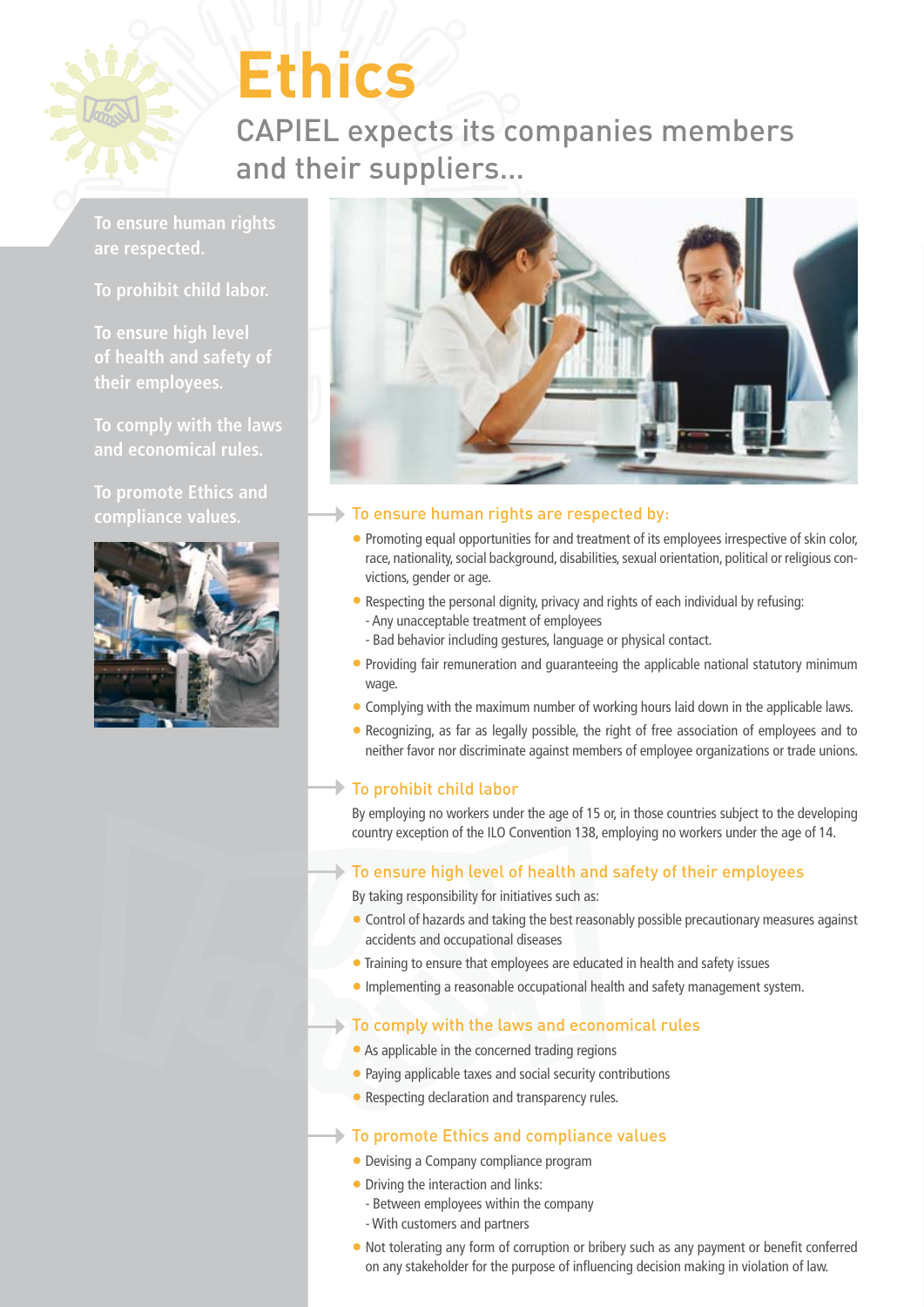

# **Ethics**

CAPIEL expects its companies members and their suppliers…

**To ensure human rights are respected.**

**To prohibit child labor.**

**To ensure high level of health and safety of their employees.**

**To comply with the laws and economical rules.**

**To promote Ethics and compliance values.** 





### To ensure human rights are respected by:

- Promoting equal opportunities for and treatment of its employees irrespective of skin color, race, nationality, social background, disabilities, sexual orientation, political or religious convictions, gender or age.
- Respecting the personal dignity, privacy and rights of each individual by refusing: - Any unacceptable treatment of employees
	- Bad behavior including gestures, language or physical contact.
- Providing fair remuneration and quaranteeing the applicable national statutory minimum wage.
- Complying with the maximum number of working hours laid down in the applicable laws.
- Recognizing, as far as legally possible, the right of free association of employees and to neither favor nor discriminate against members of employee organizations or trade unions.

### To prohibit child labor

By employing no workers under the age of 15 or, in those countries subject to the developing country exception of the ILO Convention 138, employing no workers under the age of 14.

### To ensure high level of health and safety of their employees

By taking responsibility for initiatives such as:

- Control of hazards and taking the best reasonably possible precautionary measures against accidents and occupational diseases
- Training to ensure that employees are educated in health and safety issues
- Implementing a reasonable occupational health and safety management system.

### To comply with the laws and economical rules

- As applicable in the concerned trading regions
- Paying applicable taxes and social security contributions
- Respecting declaration and transparency rules.

### To promote Ethics and compliance values

- Devising a Company compliance program
- Driving the interaction and links:
	- Between employees within the company
	- With customers and partners
- Not tolerating any form of corruption or bribery such as any payment or benefit conferred on any stakeholder for the purpose of influencing decision making in violation of law.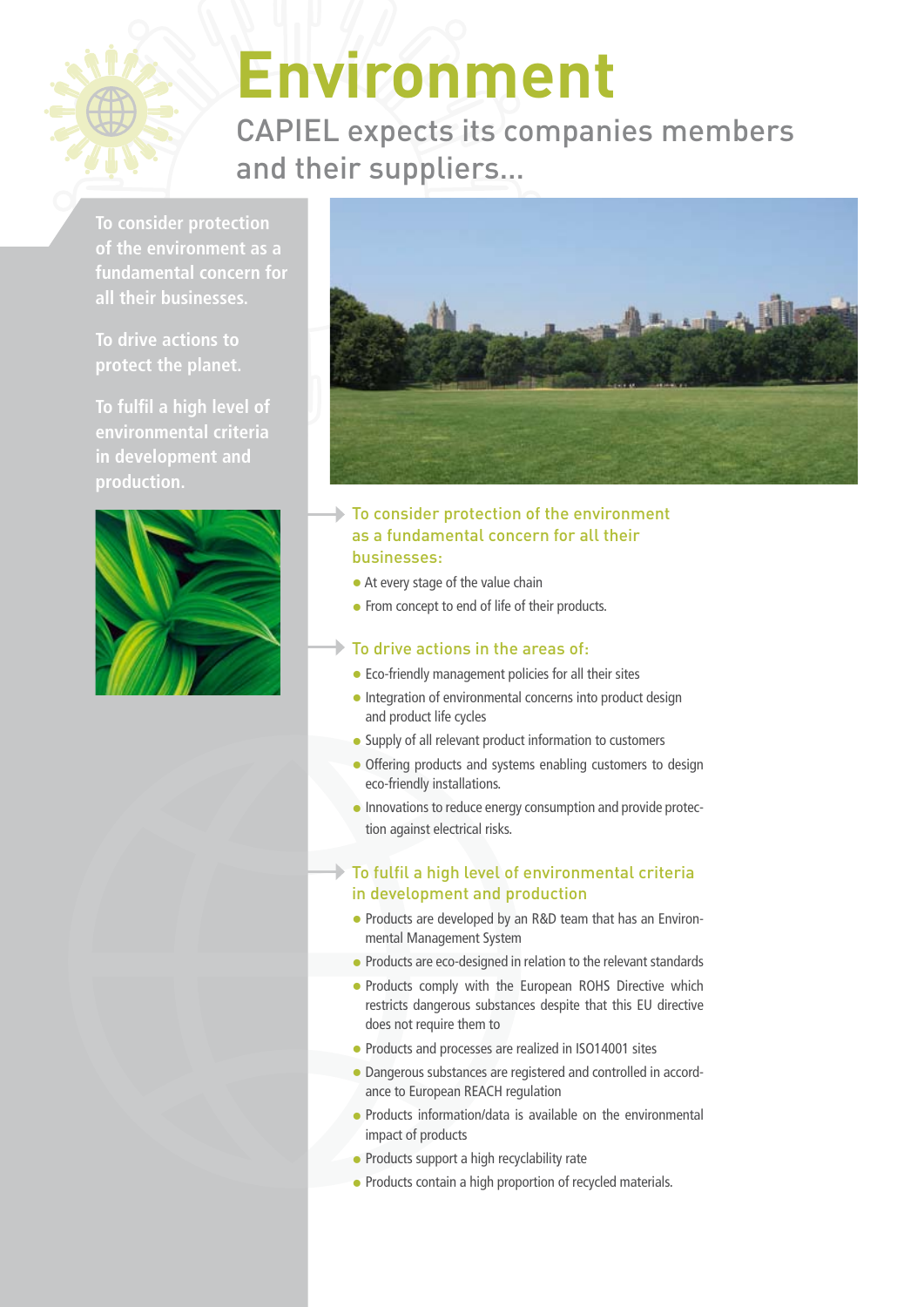

## **Environment**

CAPIEL expects its companies members and their suppliers…

**To consider protection of the environment as a fundamental concern for all their businesses.**

**To drive actions to protect the planet.**

**To fulfil a high level of in development and production.**





- To consider protection of the environment as a fundamental concern for all their businesses:
	- At every stage of the value chain
	- From concept to end of life of their products.

### To drive actions in the areas of:

- Eco-friendly management policies for all their sites
- Integration of environmental concerns into product design and product life cycles
- Supply of all relevant product information to customers
- Offering products and systems enabling customers to design eco-friendly installations.
- Innovations to reduce energy consumption and provide protection against electrical risks.

### To fulfil a high level of environmental criteria in development and production

- Products are developed by an R&D team that has an Environmental Management System
- Products are eco-designed in relation to the relevant standards
- Products comply with the European ROHS Directive which restricts dangerous substances despite that this EU directive does not require them to
- Products and processes are realized in ISO14001 sites
- Dangerous substances are registered and controlled in accordance to European REACH regulation
- Products information/data is available on the environmental impact of products
- Products support a high recyclability rate
- Products contain a high proportion of recycled materials.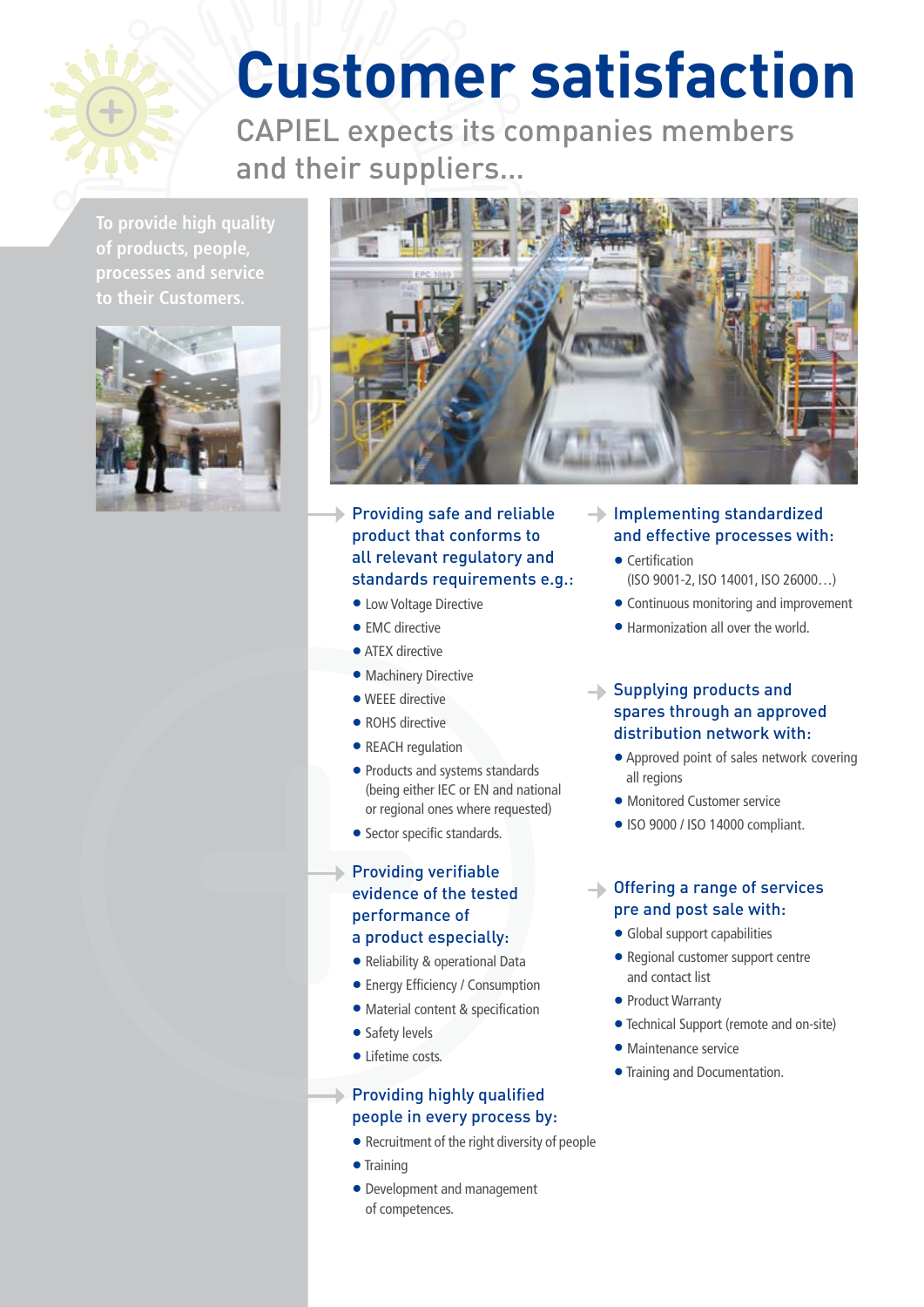

## **Customer satisfaction**

CAPIEL expects its companies members and their suppliers…

**To provide high quality of products, people, processes and service to their Customers.** 





Providing safe and reliable product that conforms to all relevant regulatory and standards requirements e.g.:

- Low Voltage Directive
- EMC directive
- **ATFX directive**
- Machinery Directive
- WEEE directive
- ROHS directive
- REACH regulation
- Products and systems standards (being either IEC or EN and national or regional ones where requested)
- Sector specific standards.

### $\blacktriangleright$  Providing verifiable evidence of the tested performance of

### a product especially:

- Reliability & operational Data
- **Energy Efficiency / Consumption**
- Material content & specification
- Safety levels
- Lifetime costs.

### Providing highly qualified people in every process by:

- Recruitment of the right diversity of people
- Training
- Development and management of competences.

### $\rightarrow$  Implementing standardized and effective processes with:

- Certification (ISO 9001-2, ISO 14001, ISO 26000…)
- Continuous monitoring and improvement
- Harmonization all over the world.

### Supplying products and spares through an approved distribution network with:

- Approved point of sales network covering all regions
- Monitored Customer service
- ISO 9000 / ISO 14000 compliant.

### **→ Offering a range of services** pre and post sale with:

- Global support capabilities
- Regional customer support centre and contact list
- Product Warranty
- Technical Support (remote and on-site)
- Maintenance service
- Training and Documentation.